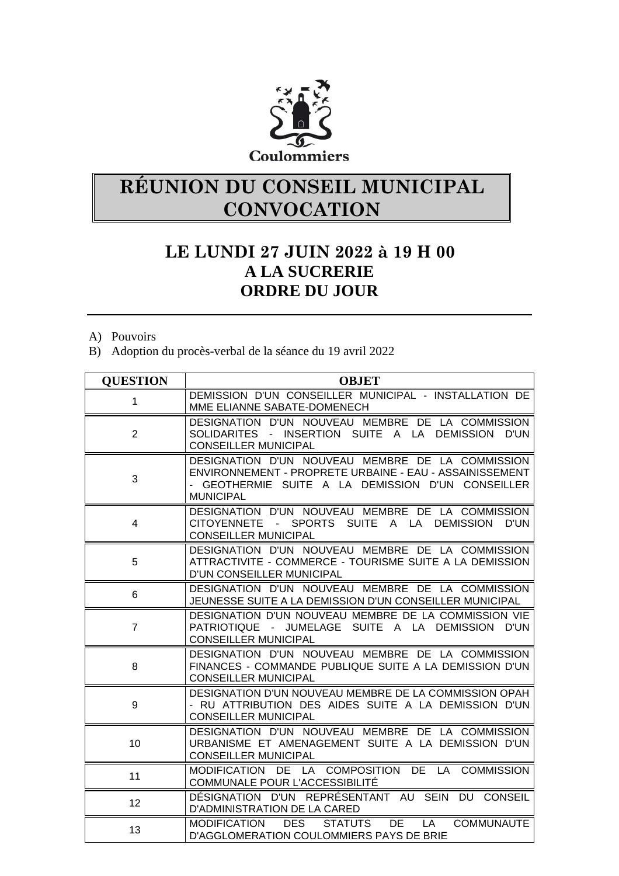

## **RÉUNION DU CONSEIL MUNICIPAL CONVOCATION**

## **LE LUNDI 27 JUIN 2022 à 19 H 00 A LA SUCRERIE ORDRE DU JOUR**

- A) Pouvoirs
- B) Adoption du procès-verbal de la séance du 19 avril 2022

| <b>QUESTION</b> | <b>OBJET</b>                                                                                                                                                                         |
|-----------------|--------------------------------------------------------------------------------------------------------------------------------------------------------------------------------------|
| $\mathbf{1}$    | DEMISSION D'UN CONSEILLER MUNICIPAL - INSTALLATION DE<br>MME ELIANNE SABATE-DOMENECH                                                                                                 |
| $\overline{2}$  | DESIGNATION D'UN NOUVEAU MEMBRE DE LA COMMISSION<br>SOLIDARITES - INSERTION SUITE A LA DEMISSION D'UN<br><b>CONSEILLER MUNICIPAL</b>                                                 |
| 3               | DESIGNATION D'UN NOUVEAU MEMBRE DE LA COMMISSION<br>ENVIRONNEMENT - PROPRETE URBAINE - EAU - ASSAINISSEMENT<br>- GEOTHERMIE SUITE A LA DEMISSION D'UN CONSEILLER<br><b>MUNICIPAL</b> |
| $\overline{4}$  | DESIGNATION D'UN NOUVEAU MEMBRE DE LA COMMISSION<br>CITOYENNETE - SPORTS SUITE A LA DEMISSION<br>D'UN<br><b>CONSEILLER MUNICIPAL</b>                                                 |
| 5               | DESIGNATION D'UN NOUVEAU MEMBRE DE LA COMMISSION<br>ATTRACTIVITE - COMMERCE - TOURISME SUITE A LA DEMISSION<br>D'UN CONSEILLER MUNICIPAL                                             |
| 6               | DESIGNATION D'UN NOUVEAU MEMBRE DE LA COMMISSION<br>JEUNESSE SUITE A LA DEMISSION D'UN CONSEILLER MUNICIPAL                                                                          |
| $\overline{7}$  | DESIGNATION D'UN NOUVEAU MEMBRE DE LA COMMISSION VIE<br>PATRIOTIQUE - JUMELAGE SUITE A LA DEMISSION D'UN<br><b>CONSEILLER MUNICIPAL</b>                                              |
| 8               | DESIGNATION D'UN NOUVEAU MEMBRE DE LA COMMISSION<br>FINANCES - COMMANDE PUBLIQUE SUITE A LA DEMISSION D'UN<br><b>CONSEILLER MUNICIPAL</b>                                            |
| 9               | DESIGNATION D'UN NOUVEAU MEMBRE DE LA COMMISSION OPAH<br>- RU ATTRIBUTION DES AIDES SUITE A LA DEMISSION D'UN<br><b>CONSEILLER MUNICIPAL</b>                                         |
| 10              | DESIGNATION D'UN NOUVEAU MEMBRE DE LA COMMISSION<br>URBANISME ET AMENAGEMENT SUITE A LA DEMISSION D'UN<br><b>CONSEILLER MUNICIPAL</b>                                                |
| 11              | MODIFICATION DE LA COMPOSITION DE LA COMMISSION<br>COMMUNALE POUR L'ACCESSIBILITÉ                                                                                                    |
| 12              | DÉSIGNATION D'UN REPRÉSENTANT AU SEIN DU CONSEIL<br>D'ADMINISTRATION DE LA CARED                                                                                                     |
| 13              | <b>DES</b><br><b>COMMUNAUTE</b><br>MODIFICATION<br><b>STATUTS</b><br>DE LA<br>D'AGGLOMERATION COULOMMIERS PAYS DE BRIE                                                               |